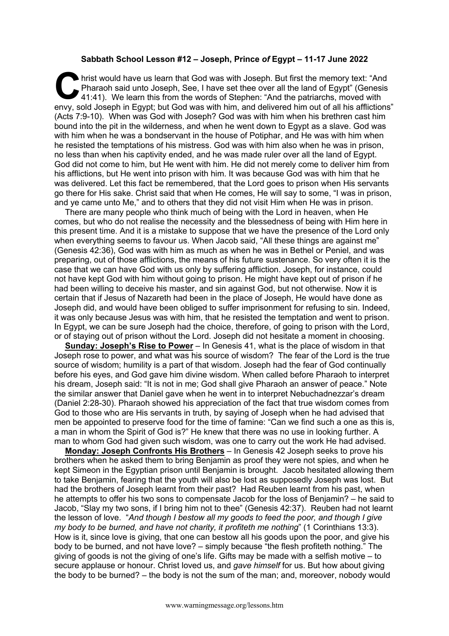## **Sabbath School Lesson #12 – Joseph, Prince** *of* **Egypt – 11-17 June 2022**

hrist would have us learn that God was with Joseph. But first the memory text: "And Pharaoh said unto Joseph, See, I have set thee over all the land of Egypt" (Genesis 41:41). We learn this from the words of Stephen: "And Pharaoh said unto Joseph, See, I have set thee over all the land of Egypt" (Genesis 41:41). We learn this from the words of Stephen: "And the patriarchs, moved with envy, sold Joseph in Egypt; but God was with him, and delivered him out of all his afflictions" (Acts 7:9-10). When was God with Joseph? God was with him when his brethren cast him bound into the pit in the wilderness, and when he went down to Egypt as a slave. God was with him when he was a bondservant in the house of Potiphar, and He was with him when he resisted the temptations of his mistress. God was with him also when he was in prison, no less than when his captivity ended, and he was made ruler over all the land of Egypt. God did not come to him, but He went with him. He did not merely come to deliver him from his afflictions, but He went into prison with him. It was because God was with him that he was delivered. Let this fact be remembered, that the Lord goes to prison when His servants go there for His sake. Christ said that when He comes, He will say to some, "I was in prison, and ye came unto Me," and to others that they did not visit Him when He was in prison.

There are many people who think much of being with the Lord in heaven, when He comes, but who do not realise the necessity and the blessedness of being with Him here in this present time. And it is a mistake to suppose that we have the presence of the Lord only when everything seems to favour us. When Jacob said, "All these things are against me" (Genesis 42:36), God was with him as much as when he was in Bethel or Peniel, and was preparing, out of those afflictions, the means of his future sustenance. So very often it is the case that we can have God with us only by suffering affliction. Joseph, for instance, could not have kept God with him without going to prison. He might have kept out of prison if he had been willing to deceive his master, and sin against God, but not otherwise. Now it is certain that if Jesus of Nazareth had been in the place of Joseph, He would have done as Joseph did, and would have been obliged to suffer imprisonment for refusing to sin. Indeed, it was only because Jesus was with him, that he resisted the temptation and went to prison. In Egypt, we can be sure Joseph had the choice, therefore, of going to prison with the Lord, or of staying out of prison without the Lord. Joseph did not hesitate a moment in choosing.

**Sunday: Joseph's Rise to Power** – In Genesis 41, what is the place of wisdom in that Joseph rose to power, and what was his source of wisdom? The fear of the Lord is the true source of wisdom; humility is a part of that wisdom. Joseph had the fear of God continually before his eyes, and God gave him divine wisdom. When called before Pharaoh to interpret his dream, Joseph said: "It is not in me; God shall give Pharaoh an answer of peace." Note the similar answer that Daniel gave when he went in to interpret Nebuchadnezzar's dream (Daniel 2:28-30). Pharaoh showed his appreciation of the fact that true wisdom comes from God to those who are His servants in truth, by saying of Joseph when he had advised that men be appointed to preserve food for the time of famine: "Can we find such a one as this is, a man in whom the Spirit of God is?" He knew that there was no use in looking further. A man to whom God had given such wisdom, was one to carry out the work He had advised.

**Monday: Joseph Confronts His Brothers** – In Genesis 42 Joseph seeks to prove his brothers when he asked them to bring Benjamin as proof they were not spies, and when he kept Simeon in the Egyptian prison until Benjamin is brought. Jacob hesitated allowing them to take Benjamin, fearing that the youth will also be lost as supposedly Joseph was lost. But had the brothers of Joseph learnt from their past? Had Reuben learnt from his past, when he attempts to offer his two sons to compensate Jacob for the loss of Benjamin? – he said to Jacob, "Slay my two sons, if I bring him not to thee" (Genesis 42:37). Reuben had not learnt the lesson of love. "*And though I bestow all my goods to feed the poor, and though I give my body to be burned, and have not charity, it profiteth me nothing*" (1 Corinthians 13:3). How is it, since love is giving, that one can bestow all his goods upon the poor, and give his body to be burned, and not have love? – simply because "the flesh profiteth nothing." The giving of goods is not the giving of one's life. Gifts may be made with a selfish motive – to secure applause or honour. Christ loved us, and *gave himself* for us. But how about giving the body to be burned? – the body is not the sum of the man; and, moreover, nobody would